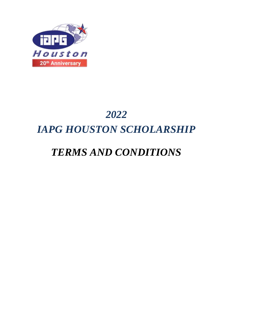

# *2022 IAPG HOUSTON SCHOLARSHIP*

# *TERMS AND CONDITIONS*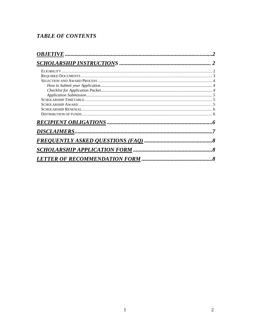## **TABLE OF CONTENTS**

|                                       | .8       |
|---------------------------------------|----------|
| <b>SCHOLARSHIP APPLICATION FORM.</b>  | $\delta$ |
| <b>LETTER OF RECOMMENDATION FORM.</b> |          |

 $\overline{2}$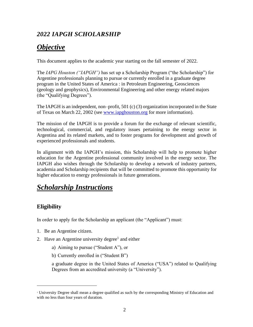# *2022 IAPGH SCHOLARSHIP*

# *Objective*

This document applies to the academic year starting on the fall semester of 2022.

The *IAPG Houston ("IAPGH")* has set up a Scholarship Program ("the Scholarship") for Argentine professionals planning to pursue or currently enrolled in a graduate degree program in the United States of America : in Petroleum Engineering, Geosciences (geology and geophysics), Environmental Engineering and other energy related majors (the "Qualifying Degrees").

The IAPGH is an independent, non–profit, 501 (c) (3) organization incorporated in the State of Texas on March 22, 2002 (see [www.iapghouston.org](http://www.iapghouston.org/) for more information).

The mission of the IAPGH is to provide a forum for the exchange of relevant scientific, technological, commercial, and regulatory issues pertaining to the energy sector in Argentina and its related markets, and to foster programs for development and growth of experienced professionals and students.

In alignment with the IAPGH's mission, this Scholarship will help to promote higher education for the Argentine professional community involved in the energy sector. The IAPGH also wishes through the Scholarship to develop a network of industry partners, academia and Scholarship recipients that will be committed to promote this opportunity for higher education to energy professionals in future generations.

# *Scholarship Instructions*

## **Eligibility**

In order to apply for the Scholarship an applicant (the "Applicant") must:

- 1. Be an Argentine citizen.
- 2. Have an Argentine university degree<sup>1</sup> and either
	- a) Aiming to pursue ("Student A"), or
	- b) Currently enrolled in ("Student B")

a graduate degree in the United States of America ("USA") related to Qualifying Degrees from an accredited university (a "University").

<sup>1</sup> University Degree shall mean a degree qualified as such by the corresponding Ministry of Education and with no less than four years of duration.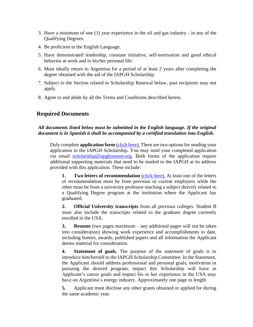- 3. Have a minimum of one (1) year experience in the oil and gas industry in any of the Qualifying Degrees.
- 4. Be proficient in the English Language.
- 5. Have demonstrated leadership, constant initiative, self-motivation and good ethical behavior at work and in his/her personal life.
- 6. Must ideally return to Argentina for a period of at least 2 years after completing the degree obtained with the aid of the IAPGH Scholarship.
- 7. Subject to the Section related to Scholarship Renewal below, past recipients may not apply.
- 8. Agree to and abide by all the Terms and Conditions described herein.

#### **Required Documents**

#### *All documents listed below must be submitted in the English language. If the original document is in Spanish it shall be accompanied by a certified translation into English.*

Duly complete **application form** [\(click here\)](https://iapg-houston.org/scholarship/scholarship-2). There are two options for sending your application to the IAPGH Scholarship. You may send your completed application via email [scholarship@iapghouston.org.](mailto:scholarship@iapghouston.org) Both forms of the application require additional supporting materials that need to be mailed to the IAPGH at its address provided with this application. These include:

**1. Two letters of recommendation** [\(click here\)](https://iapg-houston.org/scholarship/scholarship-2). At least one of the letters of recommendation must be from previous or current employers while the other must be from a university professor teaching a subject directly related to a Qualifying Degree program at the institution where the Applicant has graduated.

**2. Official University transcripts** from all previous colleges. Student B must also include the transcripts related to the graduate degree currently enrolled in the USA.

**3. Resume** (two pages maximum – any additional pages will not be taken into consideration) showing work experience and accomplishments to date, including honors, awards, published papers and all information the Applicant deems material for consideration.

**4. Statement of goals.** The purpose of the statement of goals is to introduce him/herself to the IAPGH Scholarship Committee. In the Statement, the Applicant should address professional and personal goals, motivation in pursuing the desired program, impact this Scholarship will have in Applicant's career goals and impact his or her experience in the USA may have on Argentina's energy industry. Approximately one page in length.

**5.** Applicant must disclose any other grants obtained or applied for during the same academic year.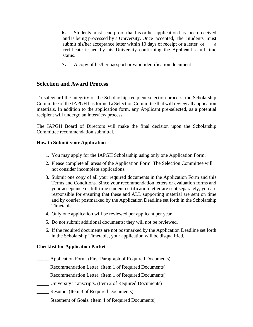**6.** Students must send proof that his or her application has been received and is being processed by a University. Once accepted, the Students must submit his/her acceptance letter within 10 days of receipt or a letter or a certificate issued by his University confirming the Applicant's full time status.

**7.** A copy of his/her passport or valid identification document

### **Selection and Award Process**

To safeguard the integrity of the Scholarship recipient selection process, the Scholarship Committee of the IAPGH has formed a Selection Committee that will review all application materials. In addition to the application form, any Applicant pre-selected, as a potential recipient will undergo an interview process.

The IAPGH Board of Directors will make the final decision upon the Scholarship Committee recommendation submittal.

#### **How to Submit your Application**

- 1. You may apply for the IAPGH Scholarship using only one Application Form.
- 2. Please complete all areas of the Application Form. The Selection Committee will not consider incomplete applications.
- 3. Submit one copy of all your required documents in the Application Form and this Terms and Conditions. Since your recommendation letters or evaluation forms and your acceptance or full-time student certification letter are sent separately, you are responsible for ensuring that these and ALL supporting material are sent on time and by courier postmarked by the Application Deadline set forth in the Scholarship Timetable.
- 4. Only one application will be reviewed per applicant per year.
- 5. Do not submit additional documents; they will not be reviewed.
- 6. If the required documents are not postmarked by the Application Deadline set forth in the Scholarship Timetable, your application will be disqualified.

#### **Checklist for Application Packet**

- Application Form. (First Paragraph of Required Documents)
- \_\_\_\_\_ Recommendation Letter. (Item 1 of Required Documents)
- \_\_\_\_\_ Recommendation Letter. (Item 1 of Required Documents)
- \_\_\_\_\_ University Transcripts. (Item 2 of Required Documents)
- \_\_\_\_\_ Resume. (Item 3 of Required Documents)
- Statement of Goals. (Item 4 of Required Documents)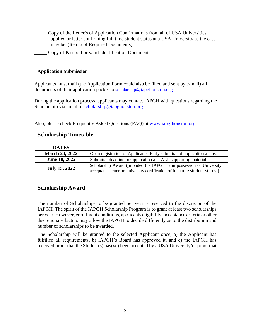- \_\_\_\_\_ Copy of the Letter/s of Application Confirmations from all of USA Universities applied or letter confirming full time student status at a USA University as the case may be. (Item 6 of Required Documents).
	- \_\_\_\_\_ Copy of Passport or valid Identification Document.

#### **Application Submission**

Applicants must mail (the Application Form could also be filled and sent by e-mail) all documents of their application packet to [scholarship](mailto:scholarship@iapghouston.org)[@iapghouston.org](mailto:scholarship@iapghouston.org)

During the application process, applicants may contact IAPGH with questions regarding the Scholarship via email to [scholarship@iapghouston.org](mailto:scholarship@iapghouston.org)

Also, please check Frequently Asked Questions (FAQ) at [www.iapg-houston.org.](http://www.iapg-houston.org/)

## **Scholarship Timetable**

| <b>DATES</b>          |                                                                             |
|-----------------------|-----------------------------------------------------------------------------|
| <b>March 24, 2022</b> | Open registration of Applicants. Early submittal of application a plus.     |
| <b>June 10, 2022</b>  | Submittal deadline for application and ALL supporting material.             |
| <b>July 15, 2022</b>  | Scholarship Award (provided the IAPGH is in possession of University        |
|                       | acceptance letter or University certification of full-time student status.) |

## **Scholarship Award**

The number of Scholarships to be granted per year is reserved to the discretion of the IAPGH. The spirit of the IAPGH Scholarship Program is to grant at least two scholarships per year. However, enrollment conditions, applicants eligibility, acceptance criteria or other discretionary factors may allow the IAPGH to decide differently as to the distribution and number of scholarships to be awarded.

The Scholarship will be granted to the selected Applicant once, a) the Applicant has fulfilled all requirements, b) IAPGH's Board has approved it, and c) the IAPGH has received proof that the Student(s) has(ve) been accepted by a USA University/or proof that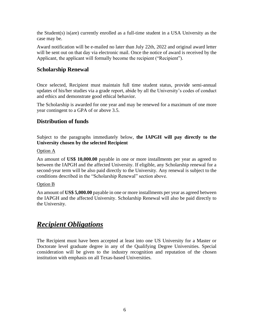the Student(s) is(are) currently enrolled as a full-time student in a USA University as the case may be.

Award notification will be e-mailed no later than July 22th, 2022 and original award letter will be sent out on that day via electronic mail. Once the notice of award is received by the Applicant, the applicant will formally become the recipient ("Recipient").

### **Scholarship Renewal**

Once selected, Recipient must maintain full time student status, provide semi-annual updates of his/her studies via a grade report, abide by all the University's codes of conduct and ethics and demonstrate good ethical behavior.

The Scholarship is awarded for one year and may be renewed for a maximum of one more year contingent to a GPA of or above 3.5.

## **Distribution of funds**

Subject to the paragraphs immediately below, **the IAPGH will pay directly to the University chosen by the selected Recipient**

#### Option A

An amount of **US\$ 10,000.00** payable in one or more installments per year as agreed to between the IAPGH and the affected University. If eligible, any Scholarship renewal for a second-year term will be also paid directly to the University. Any renewal is subject to the conditions described in the "Scholarship Renewal" section above.

#### Option B

An amount of **US\$ 5,000.00** payable in one or more installments per year as agreed between the IAPGH and the affected University. Scholarship Renewal will also be paid directly to the University.

# *Recipient Obligations*

The Recipient must have been accepted at least into one US University for a Master or Doctorate level graduate degree in any of the Qualifying Degree Universities. Special consideration will be given to the industry recognition and reputation of the chosen institution with emphasis on all Texas-based Universities.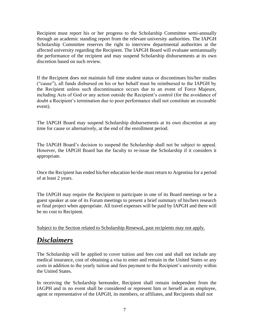Recipient must report his or her progress to the Scholarship Committee semi-annually through an academic standing report from the relevant university authorities. The IAPGH Scholarship Committee reserves the right to interview departmental authorities at the affected university regarding the Recipient. The IAPGH Board will evaluate semiannually the performance of the recipient and may suspend Scholarship disbursements at its own discretion based on such review.

If the Recipient does not maintain full time student status or discontinues his/her studies ("cause"), all funds disbursed on his or her behalf must be reimbursed to the IAPGH by the Recipient unless such discontinuance occurs due to an event of Force Majeure, including Acts of God or any action outside the Recipient's control (for the avoidance of doubt a Recipient's termination due to poor performance shall not constitute an excusable event).

The IAPGH Board may suspend Scholarship disbursements at its own discretion at any time for cause or alternatively, at the end of the enrollment period.

The IAPGH Board's decision to suspend the Scholarship shall not be subject to appeal. However, the IAPGH Board has the faculty to re-issue the Scholarship if it considers it appropriate.

Once the Recipient has ended his/her education he/she must return to Argentina for a period of at least 2 years.

The IAPGH may require the Recipient to participate in one of its Board meetings or be a guest speaker at one of its Forum meetings to present a brief summary of his/hers research or final project when appropriate. All travel expenses will be paid by IAPGH and there will be no cost to Recipient.

Subject to the Section related to Scholarship Renewal, past recipients may not apply.

# *Disclaimers*

The Scholarship will be applied to cover tuition and fees cost and shall not include any medical insurance, cost of obtaining a visa to enter and remain in the United States or any costs in addition to the yearly tuition and fees payment to the Recipient's university within the United States.

In receiving the Scholarship hereunder, Recipient shall remain independent from the IAGPH and in no event shall be considered or represent him or herself as an employee, agent or representative of the IAPGH, its members, or affiliates, and Recipients shall not